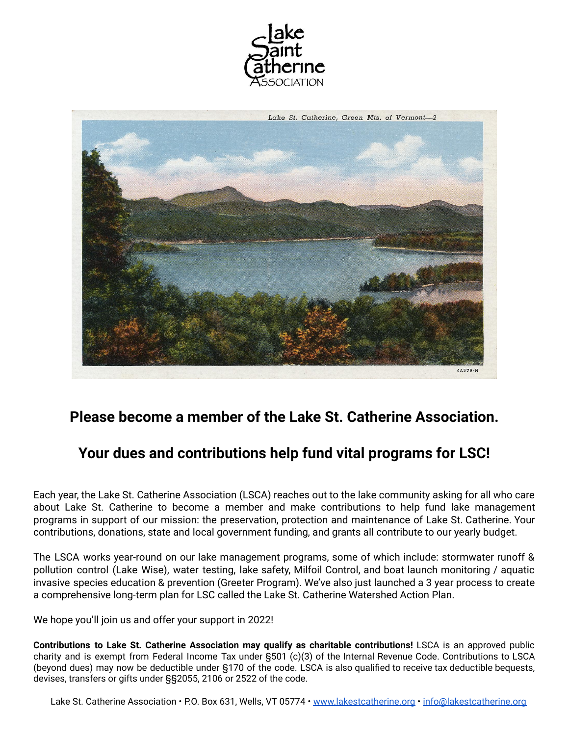



# **Please become a member of the Lake St. Catherine Association.**

# **Your dues and contributions help fund vital programs for LSC!**

Each year, the Lake St. Catherine Association (LSCA) reaches out to the lake community asking for all who care about Lake St. Catherine to become a member and make contributions to help fund lake management programs in support of our mission: the preservation, protection and maintenance of Lake St. Catherine. Your contributions, donations, state and local government funding, and grants all contribute to our yearly budget.

The LSCA works year-round on our lake management programs, some of which include: stormwater runoff & pollution control (Lake Wise), water testing, lake safety, Milfoil Control, and boat launch monitoring / aquatic invasive species education & prevention (Greeter Program). We've also just launched a 3 year process to create a comprehensive long-term plan for LSC called the Lake St. Catherine Watershed Action Plan.

We hope you'll join us and offer your support in 2022!

**Contributions to Lake St. Catherine Association may qualify as charitable contributions!** LSCA is an approved public charity and is exempt from Federal Income Tax under §501 (c)(3) of the Internal Revenue Code. Contributions to LSCA (beyond dues) may now be deductible under §170 of the code. LSCA is also qualified to receive tax deductible bequests, devises, transfers or gifts under §§2055, 2106 or 2522 of the code.

Lake St. Catherine Association • P.O. Box 631, Wells, VT 05774 • [www.lakestcatherine.org](http://www.lakestcatherine.org) • [info@lakestcatherine.org](mailto:info@lakestcatherine.org)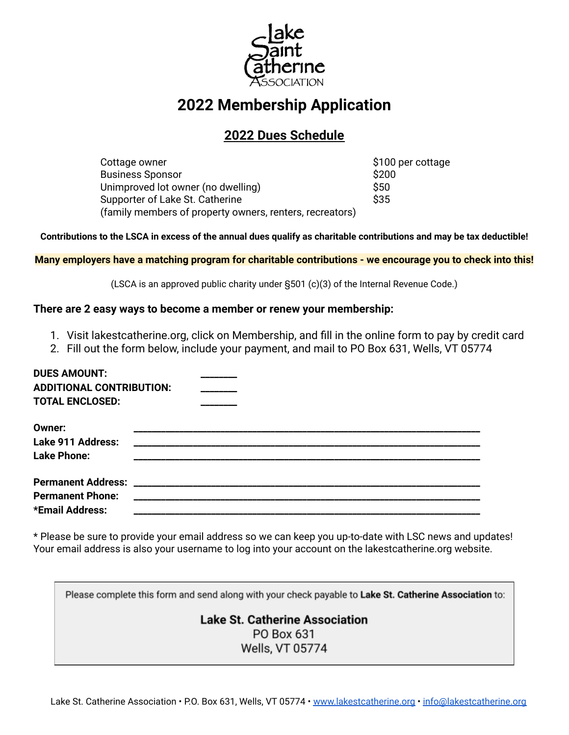

# **2022 Membership Application**

### **2022 Dues Schedule**

Cottage owner \$100 per cottage Business Sponsor **\$200** Unimproved lot owner (no dwelling)  $\sim$  \$50 Supporter of Lake St. Catherine  $$35$ (family members of property owners, renters, recreators)

Contributions to the LSCA in excess of the annual dues qualify as charitable contributions and may be tax deductible!

Many employers have a matching program for charitable contributions - we encourage you to check into this!

(LSCA is an approved public charity under §501 (c)(3) of the Internal Revenue Code.)

### **There are 2 easy ways to become a member or renew your membership:**

- 1. Visit lakestcatherine.org, click on Membership, and fill in the online form to pay by credit card
- 2. Fill out the form below, include your payment, and mail to PO Box 631, Wells, VT 05774

| <b>DUES AMOUNT:</b><br><b>ADDITIONAL CONTRIBUTION:</b> |  |
|--------------------------------------------------------|--|
| <b>TOTAL ENCLOSED:</b>                                 |  |
| <b>Owner:</b>                                          |  |
| Lake 911 Address:                                      |  |
| <b>Lake Phone:</b>                                     |  |
|                                                        |  |
| <b>Permanent Phone:</b>                                |  |
| *Email Address:                                        |  |

\* Please be sure to provide your email address so we can keep you up-to-date with LSC news and updates! Your email address is also your username to log into your account on the lakestcatherine.org website.

Please complete this form and send along with your check payable to Lake St. Catherine Association to:

### **Lake St. Catherine Association** PO Box 631

Wells, VT 05774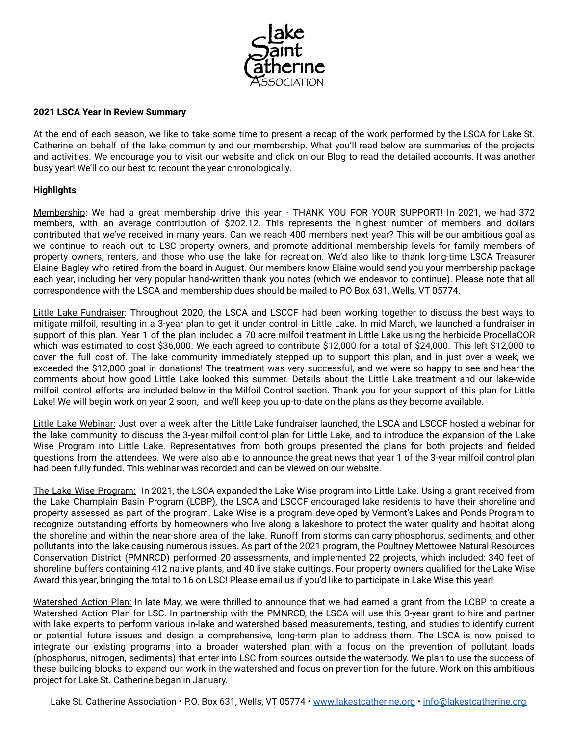

#### **2021 LSCA Year In Review Summary**

At the end of each season, we like to take some time to present a recap of the work performed by the LSCA for Lake St. Catherine on behalf of the lake community and our membership. What you'll read below are summaries of the projects and activities. We encourage you to visit our website and click on our Blog to read the detailed accounts. It was another busy year! We'll do our best to recount the year chronologically.

#### **Highlights**

Membership: We had a great membership drive this year - THANK YOU FOR YOUR SUPPORT! In 2021, we had 372 members, with an average contribution of \$202.12. This represents the highest number of members and dollars contributed that we've received in many years. Can we reach 400 members next year? This will be our ambitious goal as we continue to reach out to LSC property owners, and promote additional membership levels for family members of property owners, renters, and those who use the lake for recreation. We'd also like to thank long-time LSCA Treasurer Elaine Bagley who retired from the board in August. Our members know Elaine would send you your membership package each year, including her very popular hand-written thank you notes (which we endeavor to continue). Please note that all correspondence with the LSCA and membership dues should be mailed to PO Box 631, Wells, VT 05774.

Little Lake Fundraiser: Throughout 2020, the LSCA and LSCCF had been working together to discuss the best ways to mitigate milfoil, resulting in a 3-year plan to get it under control in Little Lake. In mid March, we launched a fundraiser in support of this plan. Year 1 of the plan included a 70 acre milfoil treatment in Little Lake using the herbicide ProcellaCOR which was estimated to cost \$36,000. We each agreed to contribute \$12,000 for a total of \$24,000. This left \$12,000 to cover the full cost of. The lake community immediately stepped up to support this plan, and in just over a week, we exceeded the \$12,000 goal in donations! The treatment was very successful, and we were so happy to see and hear the comments about how good Little Lake looked this summer. Details about the Little Lake treatment and our lake-wide milfoil control efforts are included below in the Milfoil Control section. Thank you for your support of this plan for Little Lake! We will begin work on year 2 soon, and we'll keep you up-to-date on the plans as they become available.

Little Lake Webinar: Just over a week after the Little Lake fundraiser launched, the LSCA and LSCCF hosted a webinar for the lake community to discuss the 3-year milfoil control plan for Little Lake, and to introduce the expansion of the Lake Wise Program into Little Lake. Representatives from both groups presented the plans for both projects and fielded questions from the attendees. We were also able to announce the great news that year 1 of the 3-year milfoil control plan had been fully funded. This webinar was recorded and can be viewed on our website.

The Lake Wise Program: In 2021, the LSCA expanded the Lake Wise program into Little Lake. Using a grant received from the Lake Champlain Basin Program (LCBP), the LSCA and LSCCF encouraged lake residents to have their shoreline and property assessed as part of the program. Lake Wise is a program developed by Vermont's Lakes and Ponds Program to recognize outstanding efforts by homeowners who live along a lakeshore to protect the water quality and habitat along the shoreline and within the near-shore area of the lake. Runoff from storms can carry phosphorus, sediments, and other pollutants into the lake causing numerous issues. As part of the 2021 program, the Poultney Mettowee Natural Resources Conservation District (PMNRCD) performed 20 assessments, and implemented 22 projects, which included: 340 feet of shoreline buffers containing 412 native plants, and 40 live stake cuttings. Four property owners qualified for the Lake Wise Award this year, bringing the total to 16 on LSC! Please email us if you'd like to participate in Lake Wise this year!

Watershed Action Plan: In late May, we were thrilled to announce that we had earned a grant from the LCBP to create a Watershed Action Plan for LSC. In partnership with the PMNRCD, the LSCA will use this 3-year grant to hire and partner with lake experts to perform various in-lake and watershed based measurements, testing, and studies to identify current or potential future issues and design a comprehensive, long-term plan to address them. The LSCA is now poised to integrate our existing programs into a broader watershed plan with a focus on the prevention of pollutant loads (phosphorus, nitrogen, sediments) that enter into LSC from sources outside the waterbody. We plan to use the success of these building blocks to expand our work in the watershed and focus on prevention for the future. Work on this ambitious project for Lake St. Catherine began in January.

Lake St. Catherine Association • P.O. Box 631, Wells, VT 05774 • [www.lakestcatherine.org](http://www.lakestcatherine.org) • [info@lakestcatherine.org](mailto:info@lakestcatherine.org)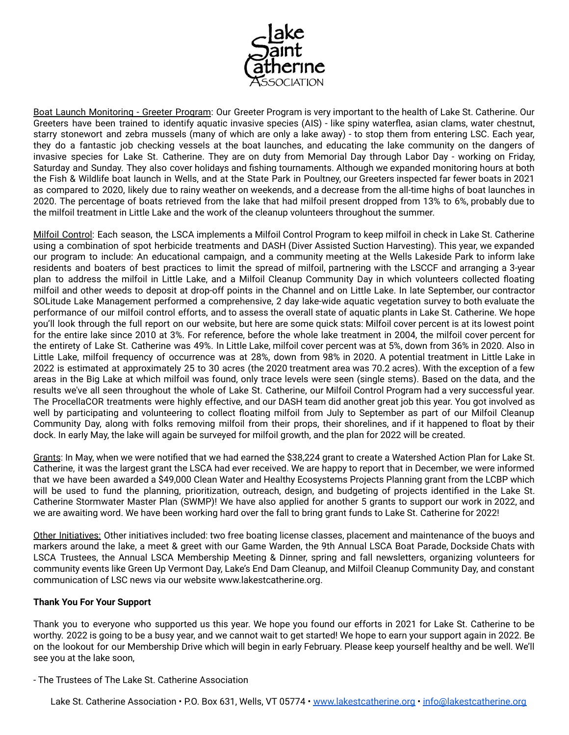

Boat Launch Monitoring - Greeter Program: Our Greeter Program is very important to the health of Lake St. Catherine. Our Greeters have been trained to identify aquatic invasive species (AIS) - like spiny waterflea, asian clams, water chestnut, starry stonewort and zebra mussels (many of which are only a lake away) - to stop them from entering LSC. Each year, they do a fantastic job checking vessels at the boat launches, and educating the lake community on the dangers of invasive species for Lake St. Catherine. They are on duty from Memorial Day through Labor Day - working on Friday, Saturday and Sunday. They also cover holidays and fishing tournaments. Although we expanded monitoring hours at both the Fish & Wildlife boat launch in Wells, and at the State Park in Poultney, our Greeters inspected far fewer boats in 2021 as compared to 2020, likely due to rainy weather on weekends, and a decrease from the all-time highs of boat launches in 2020. The percentage of boats retrieved from the lake that had milfoil present dropped from 13% to 6%, probably due to the milfoil treatment in Little Lake and the work of the cleanup volunteers throughout the summer.

Milfoil Control: Each season, the LSCA implements a Milfoil Control Program to keep milfoil in check in Lake St. Catherine using a combination of spot herbicide treatments and DASH (Diver Assisted Suction Harvesting). This year, we expanded our program to include: An educational campaign, and a community meeting at the Wells Lakeside Park to inform lake residents and boaters of best practices to limit the spread of milfoil, partnering with the LSCCF and arranging a 3-year plan to address the milfoil in Little Lake, and a Milfoil Cleanup Community Day in which volunteers collected floating milfoil and other weeds to deposit at drop-off points in the Channel and on Little Lake. In late September, our contractor SOLitude Lake Management performed a comprehensive, 2 day lake-wide aquatic vegetation survey to both evaluate the performance of our milfoil control efforts, and to assess the overall state of aquatic plants in Lake St. Catherine. We hope you'll look through the full report on our website, but here are some quick stats: Milfoil cover percent is at its lowest point for the entire lake since 2010 at 3%. For reference, before the whole lake treatment in 2004, the milfoil cover percent for the entirety of Lake St. Catherine was 49%. In Little Lake, milfoil cover percent was at 5%, down from 36% in 2020. Also in Little Lake, milfoil frequency of occurrence was at 28%, down from 98% in 2020. A potential treatment in Little Lake in 2022 is estimated at approximately 25 to 30 acres (the 2020 treatment area was 70.2 acres). With the exception of a few areas in the Big Lake at which milfoil was found, only trace levels were seen (single stems). Based on the data, and the results we've all seen throughout the whole of Lake St. Catherine, our Milfoil Control Program had a very successful year. The ProcellaCOR treatments were highly effective, and our DASH team did another great job this year. You got involved as well by participating and volunteering to collect floating milfoil from July to September as part of our Milfoil Cleanup Community Day, along with folks removing milfoil from their props, their shorelines, and if it happened to float by their dock. In early May, the lake will again be surveyed for milfoil growth, and the plan for 2022 will be created.

Grants: In May, when we were notified that we had earned the \$38,224 grant to create a Watershed Action Plan for Lake St. Catherine, it was the largest grant the LSCA had ever received. We are happy to report that in December, we were informed that we have been awarded a \$49,000 Clean Water and Healthy Ecosystems Projects Planning grant from the LCBP which will be used to fund the planning, prioritization, outreach, design, and budgeting of projects identified in the Lake St. Catherine Stormwater Master Plan (SWMP)! We have also applied for another 5 grants to support our work in 2022, and we are awaiting word. We have been working hard over the fall to bring grant funds to Lake St. Catherine for 2022!

Other Initiatives: Other initiatives included: two free boating license classes, placement and maintenance of the buoys and markers around the lake, a meet & greet with our Game Warden, the 9th Annual LSCA Boat Parade, Dockside Chats with LSCA Trustees, the Annual LSCA Membership Meeting & Dinner, spring and fall newsletters, organizing volunteers for community events like Green Up Vermont Day, Lake's End Dam Cleanup, and Milfoil Cleanup Community Day, and constant communication of LSC news via our website www.lakestcatherine.org.

#### **Thank You For Your Support**

Thank you to everyone who supported us this year. We hope you found our efforts in 2021 for Lake St. Catherine to be worthy. 2022 is going to be a busy year, and we cannot wait to get started! We hope to earn your support again in 2022. Be on the lookout for our Membership Drive which will begin in early February. Please keep yourself healthy and be well. We'll see you at the lake soon,

#### - The Trustees of The Lake St. Catherine Association

Lake St. Catherine Association • P.O. Box 631, Wells, VT 05774 • [www.lakestcatherine.org](http://www.lakestcatherine.org) • [info@lakestcatherine.org](mailto:info@lakestcatherine.org)